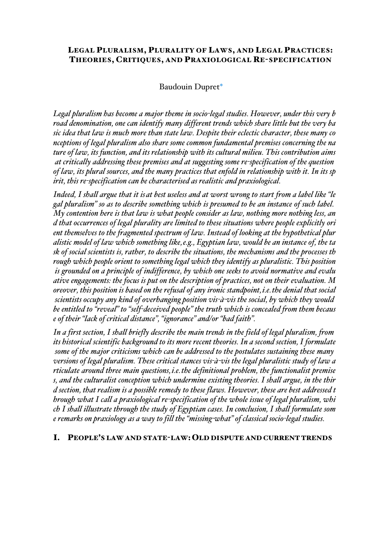## LEGAL PLURALISM, PLURALITY OF LAWS, AND LEGAL PRACTICES: THEORIES, CRITIQUES, AND PRAXIOLOGICAL RE-SPECIFICATION

# Baudouin Dupret\*

*Legal pluralism has become a major theme in socio-legal studies. However, under this very b road denomination, one can identify many different trends which share little but the very ba sic idea that law is much more than state law. Despite their eclectic character, these many co nceptions of legal pluralism also share some common fundamental premises concerning the na ture of law, its function, and its relationship with its cultural milieu. This contribution aims at critically addressing these premises and at suggesting some re-specification of the question of law, its plural sources, and the many practices that enfold in relationship with it. In its sp irit, this re-specification can be characterised as realistic and praxiological.*

*Indeed, I shall argue that it isat best useless and at worst wrong to start from a label like "le gal pluralism" so as to describe something which is presumed to be an instance of such label. My contention here is that law is what people consider as law, nothing more nothing less, an d that occurrences of legal plurality are limited to these situations where people explicitly ori ent themselves to the fragmented spectrum of law. Instead of looking at the hypothetical plur alistic model of law which something like,e.g., Egyptian law, would be an instance of, the ta sk of social scientists is, rather, to describe the situations, the mechanisms and the processes th rough which people orient to something legal which they identify as pluralistic. This position is grounded on a principle of indifference, by which one seeks to avoid normative and evalu ative engagements: the focus is put on the description of practices, not on their evaluation. M oreover, this position is based on the refusal of any ironic standpoint,i.e.the denial that social scientists occupy any kind of overhanging position vis-à-vis the social, by which they would be entitled to "reveal" to "self-deceived people" the truth which is concealed from them becaus e of their "lack of critical distance", "ignorance" and/or "bad faith".*

*In a first section, I shall briefly describe the main trends in the field of legal pluralism, from its historical scientific background to its more recent theories. In a second section, I formulate some of the major criticisms which can be addressed to the postulates sustaining these many versions of legal pluralism. These critical stances vis-à-vis the legal pluralistic study of law a rticulate around three main questions,i.e.the definitional problem, the functionalist premise s, and the culturalist conception which undermine existing theories. I shall argue, in the thir d section, that realism is a possible remedy to these flaws. However, these are best addressed t hrough what I call a praxiological re-specification of the whole issue of legal pluralism, whi ch I shall illustrate through the study of Egyptian cases. In conclusion, I shall formulate som e remarks on praxiology as a way to fill the "missing-what" of classical socio-legal studies.*

#### I. PEOPLE'S LAW AND STATE-LAW: OLD DISPUTE AND CURRENT TRENDS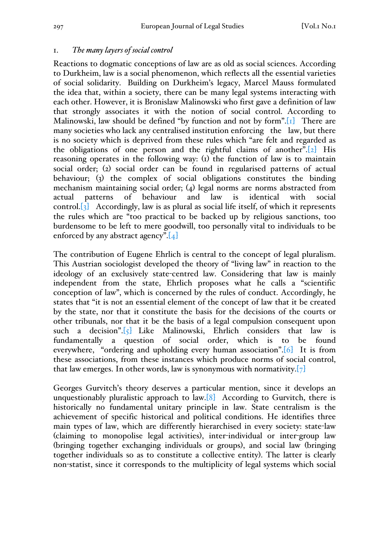## 1. *The many layers of social control*

Reactions to dogmatic conceptions of law are as old as social sciences. According to Durkheim, law is a social phenomenon, which reflects all the essential varieties of social solidarity. Building on Durkheim's legacy, Marcel Mauss formulated the idea that, within a society, there can be many legal systems interacting with each other. However, it is Bronislaw Malinowski who first gave a definition of law that strongly associates it with the notion of social control. According to Malinowski, law should be defined "by function and not by form".[1] There are many societies who lack any centralised institution enforcing the law, but there is no society which is deprived from these rules which "are felt and regarded as the obligations of one person and the rightful claims of another". $[2]$  His reasoning operates in the following way: (1) the function of law is to maintain social order; (2) social order can be found in regularised patterns of actual behaviour; (3) the complex of social obligations constitutes the binding mechanism maintaining social order; (4) legal norms are norms abstracted from actual patterns of behaviour and law is identical with social control. $\begin{bmatrix} 3 \end{bmatrix}$  Accordingly, law is as plural as social life itself, of which it represents the rules which are "too practical to be backed up by religious sanctions, too burdensome to be left to mere goodwill, too personally vital to individuals to be enforced by any abstract agency". $[4]$ 

The contribution of Eugene Ehrlich is central to the concept of legal pluralism. This Austrian sociologist developed the theory of "living law" in reaction to the ideology of an exclusively state-centred law. Considering that law is mainly independent from the state, Ehrlich proposes what he calls a "scientific conception of law", which is concerned by the rules of conduct. Accordingly, he states that "it is not an essential element of the concept of law that it be created by the state, nor that it constitute the basis for the decisions of the courts or other tribunals, nor that it be the basis of a legal compulsion consequent upon such a decision".[5] Like Malinowski, Ehrlich considers that law is fundamentally a question of social order, which is to be found everywhere, "ordering and upholding every human association".[6] It is from these associations, from these instances which produce norms of social control, that law emerges. In other words, law is synonymous with normativity.  $[7]$ 

Georges Gurvitch's theory deserves a particular mention, since it develops an unquestionably pluralistic approach to  $law.[8]$  According to Gurvitch, there is historically no fundamental unitary principle in law. State centralism is the achievement of specific historical and political conditions. He identifies three main types of law, which are differently hierarchised in every society: state-law (claiming to monopolise legal activities), inter-individual or inter-group law (bringing together exchanging individuals or groups), and social law (bringing together individuals so as to constitute a collective entity). The latter is clearly non-statist, since it corresponds to the multiplicity of legal systems which social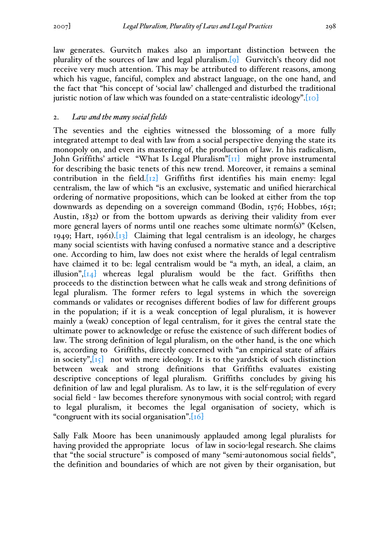law generates. Gurvitch makes also an important distinction between the plurality of the sources of law and legal pluralism.[9] Gurvitch's theory did not receive very much attention. This may be attributed to different reasons, among which his vague, fanciful, complex and abstract language, on the one hand, and the fact that "his concept of 'social law' challenged and disturbed the traditional juristic notion of law which was founded on a state-centralistic ideology".[10]

### 2. *Law and the many social fields*

The seventies and the eighties witnessed the blossoming of a more fully integrated attempt to deal with law from a social perspective denying the state its monopoly on, and even its mastering of, the production of law. In his radicalism, John Griffiths' article "What Is Legal Pluralism"[11] might prove instrumental for describing the basic tenets of this new trend. Moreover, it remains a seminal contribution in the field. $[x_2]$  Griffiths first identifies his main enemy: legal centralism, the law of which "is an exclusive, systematic and unified hierarchical ordering of normative propositions, which can be looked at either from the top downwards as depending on a sovereign command (Bodin, 1576; Hobbes, 1651; Austin, 1832) or from the bottom upwards as deriving their validity from ever more general layers of norms until one reaches some ultimate norm(s)" (Kelsen, 1949; Hart, 1961). $\overline{13}$  Claiming that legal centralism is an ideology, he charges many social scientists with having confused a normative stance and a descriptive one. According to him, law does not exist where the heralds of legal centralism have claimed it to be: legal centralism would be "a myth, an ideal, a claim, an illusion", $\begin{bmatrix} 1 & 1 \\ 1 & 1 \end{bmatrix}$  whereas legal pluralism would be the fact. Griffiths then proceeds to the distinction between what he calls weak and strong definitions of legal pluralism. The former refers to legal systems in which the sovereign commands or validates or recognises different bodies of law for different groups in the population; if it is a weak conception of legal pluralism, it is however mainly a (weak) conception of legal centralism, for it gives the central state the ultimate power to acknowledge or refuse the existence of such different bodies of law. The strong definition of legal pluralism, on the other hand, is the one which is, according to Griffiths, directly concerned with "an empirical state of affairs in society", $\begin{bmatrix} 15 \end{bmatrix}$  not with mere ideology. It is to the yardstick of such distinction between weak and strong definitions that Griffiths evaluates existing descriptive conceptions of legal pluralism. Griffiths concludes by giving his definition of law and legal pluralism. As to law, it is the self-regulation of every social field - law becomes therefore synonymous with social control; with regard to legal pluralism, it becomes the legal organisation of society, which is "congruent with its social organisation".[16]

Sally Falk Moore has been unanimously applauded among legal pluralists for having provided the appropriate locus of law in socio-legal research. She claims that "the social structure" is composed of many "semi-autonomous social fields", the definition and boundaries of which are not given by their organisation, but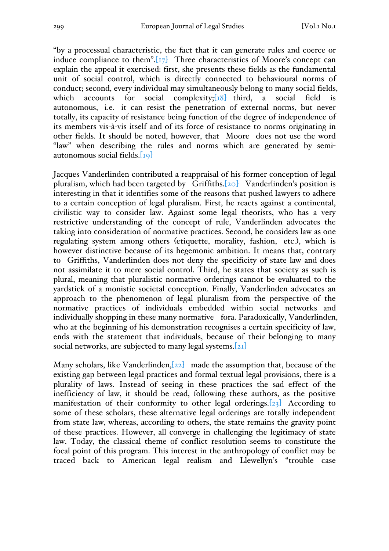"by a processual characteristic, the fact that it can generate rules and coerce or induce compliance to them". $\boxed{17}$  Three characteristics of Moore's concept can explain the appeal it exercised: first, she presents these fields as the fundamental unit of social control, which is directly connected to behavioural norms of conduct; second, every individual may simultaneously belong to many social fields, which accounts for social complexity; $\begin{bmatrix} 18 \end{bmatrix}$  third, a social field is autonomous, i.e. it can resist the penetration of external norms, but never totally, its capacity of resistance being function of the degree of independence of its members vis-à-vis itself and of its force of resistance to norms originating in other fields. It should be noted, however, that Moore does not use the word "law" when describing the rules and norms which are generated by semiautonomous social fields.[19]

Jacques Vanderlinden contributed a reappraisal of his former conception of legal pluralism, which had been targeted by Griffiths.[20] Vanderlinden's position is interesting in that it identifies some of the reasons that pushed lawyers to adhere to a certain conception of legal pluralism. First, he reacts against a continental, civilistic way to consider law. Against some legal theorists, who has a very restrictive understanding of the concept of rule, Vanderlinden advocates the taking into consideration of normative practices. Second, he considers law as one regulating system among others (etiquette, morality, fashion, etc.), which is however distinctive because of its hegemonic ambition. It means that, contrary to Griffiths, Vanderlinden does not deny the specificity of state law and does not assimilate it to mere social control. Third, he states that society as such is plural, meaning that pluralistic normative orderings cannot be evaluated to the yardstick of a monistic societal conception. Finally, Vanderlinden advocates an approach to the phenomenon of legal pluralism from the perspective of the normative practices of individuals embedded within social networks and individually shopping in these many normative fora. Paradoxically, Vanderlinden, who at the beginning of his demonstration recognises a certain specificity of law, ends with the statement that individuals, because of their belonging to many social networks, are subjected to many legal systems.[21]

Many scholars, like Vanderlinden, $[22]$  made the assumption that, because of the existing gap between legal practices and formal textual legal provisions, there is a plurality of laws. Instead of seeing in these practices the sad effect of the inefficiency of law, it should be read, following these authors, as the positive manifestation of their conformity to other legal orderings. $[23]$  According to some of these scholars, these alternative legal orderings are totally independent from state law, whereas, according to others, the state remains the gravity point of these practices. However, all converge in challenging the legitimacy of state law. Today, the classical theme of conflict resolution seems to constitute the focal point of this program. This interest in the anthropology of conflict may be traced back to American legal realism and Llewellyn's "trouble case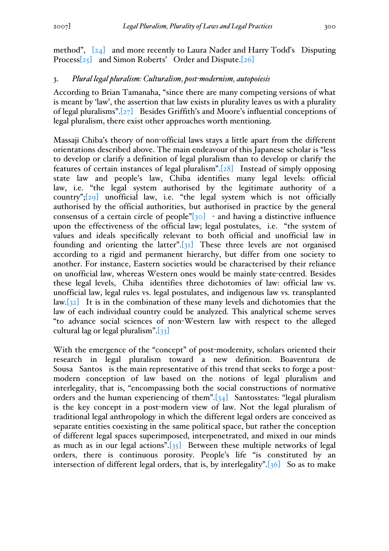method", [24] and more recently to Laura Nader and Harry Todd's Disputing Process[25] and Simon Roberts' Order and Dispute.[26]

### 3. *Plural legal pluralism: Culturalism, post-modernism, autopoiesis*

According to Brian Tamanaha, "since there are many competing versions of what is meant by 'law', the assertion that law exists in plurality leaves us with a plurality of legal pluralisms". $[27]$  Besides Griffith's and Moore's influential conceptions of legal pluralism, there exist other approaches worth mentioning.

Massaji Chiba's theory of non-official laws stays a little apart from the different orientations described above. The main endeavour of this Japanese scholar is "less to develop or clarify a definition of legal pluralism than to develop or clarify the features of certain instances of legal pluralism".[28] Instead of simply opposing state law and people's law, Chiba identifies many legal levels: official law, i.e. "the legal system authorised by the legitimate authority of a country";[29] unofficial law, i.e. "the legal system which is not officially authorised by the official authorities, but authorised in practice by the general consensus of a certain circle of people" $[30]$  - and having a distinctive influence upon the effectiveness of the official law; legal postulates, i.e. "the system of values and ideals specifically relevant to both official and unofficial law in founding and orienting the latter". $[31]$  These three levels are not organised according to a rigid and permanent hierarchy, but differ from one society to another. For instance, Eastern societies would be characterised by their reliance on unofficial law, whereas Western ones would be mainly state-centred. Besides these legal levels, Chiba identifies three dichotomies of law: official law vs. unofficial law, legal rules vs. legal postulates, and indigenous law vs. transplanted  $law.[32]$  It is in the combination of these many levels and dichotomies that the law of each individual country could be analyzed. This analytical scheme serves "to advance social sciences of non-Western law with respect to the alleged cultural lag or legal pluralism". $\frac{33}{133}$ 

With the emergence of the "concept" of post-modernity, scholars oriented their research in legal pluralism toward a new definition. Boaventura de Sousa Santos is the main representative of this trend that seeks to forge a postmodern conception of law based on the notions of legal pluralism and interlegality, that is, "encompassing both the social constructions of normative orders and the human experiencing of them".[34] Santosstates: "legal pluralism is the key concept in a post-modern view of law. Not the legal pluralism of traditional legal anthropology in which the different legal orders are conceived as separate entities coexisting in the same political space, but rather the conception of different legal spaces superimposed, interpenetrated, and mixed in our minds as much as in our legal actions". $[35]$  Between these multiple networks of legal orders, there is continuous porosity. People's life "is constituted by an intersection of different legal orders, that is, by interlegality". $[36]$  So as to make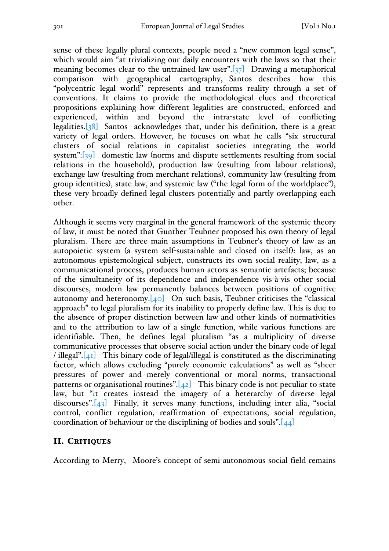sense of these legally plural contexts, people need a "new common legal sense", which would aim "at trivializing our daily encounters with the laws so that their meaning becomes clear to the untrained law user".[37] Drawing a metaphorical comparison with geographical cartography, Santos describes how this "polycentric legal world" represents and transforms reality through a set of conventions. It claims to provide the methodological clues and theoretical propositions explaining how different legalities are constructed, enforced and experienced, within and beyond the intra-state level of conflicting legalities. $[38]$  Santos acknowledges that, under his definition, there is a great variety of legal orders. However, he focuses on what he calls "six structural clusters of social relations in capitalist societies integrating the world system":[39] domestic law (norms and dispute settlements resulting from social relations in the household), production law (resulting from labour relations), exchange law (resulting from merchant relations), community law (resulting from group identities), state law, and systemic law ("the legal form of the worldplace"), these very broadly defined legal clusters potentially and partly overlapping each other.

Although it seems very marginal in the general framework of the systemic theory of law, it must be noted that Gunther Teubner proposed his own theory of legal pluralism. There are three main assumptions in Teubner's theory of law as an autopoietic system (a system self-sustainable and closed on itself): law, as an autonomous epistemological subject, constructs its own social reality; law, as a communicational process, produces human actors as semantic artefacts; because of the simultaneity of its dependence and independence vis-à-vis other social discourses, modern law permanently balances between positions of cognitive autonomy and heteronomy. $[40]$  On such basis, Teubner criticises the "classical" approach" to legal pluralism for its inability to properly define law. This is due to the absence of proper distinction between law and other kinds of normativities and to the attribution to law of a single function, while various functions are identifiable. Then, he defines legal pluralism "as a multiplicity of diverse communicative processes that observe social action under the binary code of legal / illegal". $[41]$  This binary code of legal/illegal is constituted as the discriminating factor, which allows excluding "purely economic calculations" as well as "sheer pressures of power and merely conventional or moral norms, transactional patterns or organisational routines". $[42]$  This binary code is not peculiar to state law, but "it creates instead the imagery of a heterarchy of diverse legal discourses".[43] Finally, it serves many functions, including inter alia, "social control, conflict regulation, reaffirmation of expectations, social regulation, coordination of behaviour or the disciplining of bodies and souls". $[44]$ 

#### II. CRITIQUES

According to Merry, Moore's concept of semi-autonomous social field remains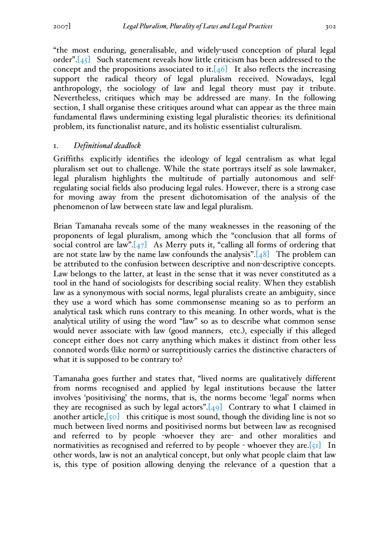"the most enduring, generalisable, and widely-used conception of plural legal order". $[45]$  Such statement reveals how little criticism has been addressed to the concept and the propositions associated to it.  $[46]$  It also reflects the increasing support the radical theory of legal pluralism received. Nowadays, legal anthropology, the sociology of law and legal theory must pay it tribute. Nevertheless, critiques which may be addressed are many. In the following section, I shall organise these critiques around what can appear as the three main fundamental flaws undermining existing legal pluralistic theories: its definitional problem, its functionalist nature, and its holistic essentialist culturalism.

#### 1. *Definitional deadlock*

Griffiths explicitly identifies the ideology of legal centralism as what legal pluralism set out to challenge. While the state portrays itself as sole lawmaker, legal pluralism highlights the multitude of partially autonomous and selfregulating social fields also producing legal rules. However, there is a strong case for moving away from the present dichotomisation of the analysis of the phenomenon of law between state law and legal pluralism.

Brian Tamanaha reveals some of the many weaknesses in the reasoning of the proponents of legal pluralism, among which the "conclusion that all forms of social control are law". $[47]$  As Merry puts it, "calling all forms of ordering that are not state law by the name law confounds the analysis". $[48]$  The problem can be attributed to the confusion between descriptive and non-descriptive concepts. Law belongs to the latter, at least in the sense that it was never constituted as a tool in the hand of sociologists for describing social reality. When they establish law as a synonymous with social norms, legal pluralists create an ambiguity, since they use a word which has some commonsense meaning so as to perform an analytical task which runs contrary to this meaning. In other words, what is the analytical utility of using the word "law" so as to describe what common sense would never associate with law (good manners, etc.), especially if this alleged concept either does not carry anything which makes it distinct from other less connoted words (like norm) or surreptitiously carries the distinctive characters of what it is supposed to be contrary to?

Tamanaha goes further and states that, "lived norms are qualitatively different from norms recognised and applied by legal institutions because the latter involves 'positivising' the norms, that is, the norms become 'legal' norms when they are recognised as such by legal actors". $[49]$  Contrary to what I claimed in another article, $\lceil 50 \rceil$  this critique is most sound, though the dividing line is not so much between lived norms and positivised norms but between law as recognised and referred to by people -whoever they are- and other moralities and normativities as recognised and referred to by people - whoever they are.[ $51$ ] In other words, law is not an analytical concept, but only what people claim that law is, this type of position allowing denying the relevance of a question that a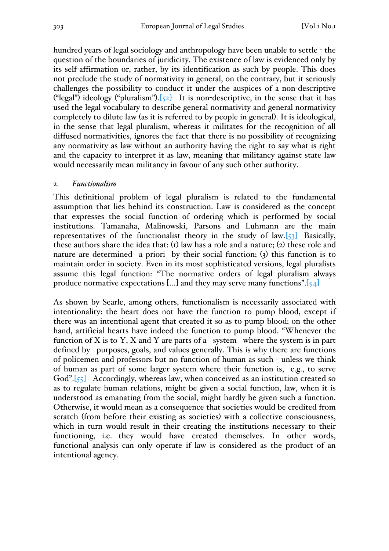hundred years of legal sociology and anthropology have been unable to settle - the question of the boundaries of juridicity. The existence of law is evidenced only by its self-affirmation or, rather, by its identification as such by people. This does not preclude the study of normativity in general, on the contrary, but it seriously challenges the possibility to conduct it under the auspices of a non-descriptive ("legal") ideology ("pluralism"). $\overline{52}$  It is non-descriptive, in the sense that it has used the legal vocabulary to describe general normativity and general normativity completely to dilute law (as it is referred to by people in general). It is ideological, in the sense that legal pluralism, whereas it militates for the recognition of all diffused normativities, ignores the fact that there is no possibility of recognizing any normativity as law without an authority having the right to say what is right and the capacity to interpret it as law, meaning that militancy against state law would necessarily mean militancy in favour of any such other authority.

### 2. *Functionalism*

This definitional problem of legal pluralism is related to the fundamental assumption that lies behind its construction. Law is considered as the concept that expresses the social function of ordering which is performed by social institutions. Tamanaha, Malinowski, Parsons and Luhmann are the main representatives of the functionalist theory in the study of law. $[53]$  Basically, these authors share the idea that:  $(i)$  law has a role and a nature;  $(i)$  these role and nature are determined a priori by their social function;  $(3)$  this function is to maintain order in society. Even in its most sophisticated versions, legal pluralists assume this legal function: "The normative orders of legal pluralism always produce normative expectations [...] and they may serve many functions". $[54]$ 

As shown by Searle, among others, functionalism is necessarily associated with intentionality: the heart does not have the function to pump blood, except if there was an intentional agent that created it so as to pump blood; on the other hand, artificial hearts have indeed the function to pump blood. "Whenever the function of X is to Y, X and Y are parts of a system where the system is in part defined by purposes, goals, and values generally. This is why there are functions of policemen and professors but no function of human as such - unless we think of human as part of some larger system where their function is, e.g., to serve God".[55] Accordingly, whereas law, when conceived as an institution created so as to regulate human relations, might be given a social function, law, when it is understood as emanating from the social, might hardly be given such a function. Otherwise, it would mean as a consequence that societies would be credited from scratch (from before their existing as societies) with a collective consciousness, which in turn would result in their creating the institutions necessary to their functioning, i.e. they would have created themselves. In other words, functional analysis can only operate if law is considered as the product of an intentional agency.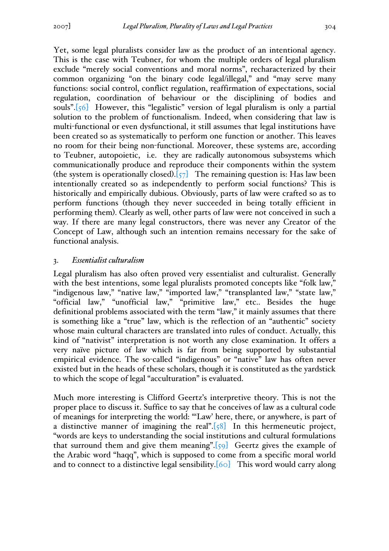Yet, some legal pluralists consider law as the product of an intentional agency. This is the case with Teubner, for whom the multiple orders of legal pluralism exclude "merely social conventions and moral norms", recharacterized by their common organizing "on the binary code legal/illegal," and "may serve many functions: social control, conflict regulation, reaffirmation of expectations, social regulation, coordination of behaviour or the disciplining of bodies and souls".[56] However, this "legalistic" version of legal pluralism is only a partial solution to the problem of functionalism. Indeed, when considering that law is multi-functional or even dysfunctional, it still assumes that legal institutions have been created so as systematically to perform one function or another. This leaves no room for their being non-functional. Moreover, these systems are, according to Teubner, autopoietic, i.e. they are radically autonomous subsystems which communicationally produce and reproduce their components within the system (the system is operationally closed). $[57]$  The remaining question is: Has law been intentionally created so as independently to perform social functions? This is historically and empirically dubious. Obviously, parts of law were crafted so as to perform functions (though they never succeeded in being totally efficient in performing them). Clearly as well, other parts of law were not conceived in such a way. If there are many legal constructors, there was never any Creator of the Concept of Law, although such an intention remains necessary for the sake of functional analysis.

#### 3. *Essentialist culturalism*

Legal pluralism has also often proved very essentialist and culturalist. Generally with the best intentions, some legal pluralists promoted concepts like "folk law," "indigenous law," "native law," "imported law," "transplanted law," "state law," "official law," "unofficial law," "primitive law," etc.. Besides the huge definitional problems associated with the term "law," it mainly assumes that there is something like a "true" law, which is the reflection of an "authentic" society whose main cultural characters are translated into rules of conduct. Actually, this kind of "nativist" interpretation is not worth any close examination. It offers a very naïve picture of law which is far from being supported by substantial empirical evidence. The so-called "indigenous" or "native" law has often never existed but in the heads of these scholars, though it is constituted as the yardstick to which the scope of legal "acculturation" is evaluated.

Much more interesting is Clifford Geertz's interpretive theory. This is not the proper place to discuss it. Suffice to say that he conceives of law as a cultural code of meanings for interpreting the world: "'Law' here, there, or anywhere, is part of a distinctive manner of imagining the real". $[58]$  In this hermeneutic project, "words are keys to understanding the social institutions and cultural formulations that surround them and give them meaning".[59] Geertz gives the example of the Arabic word "haqq", which is supposed to come from a specific moral world and to connect to a distinctive legal sensibility.[60] This word would carry along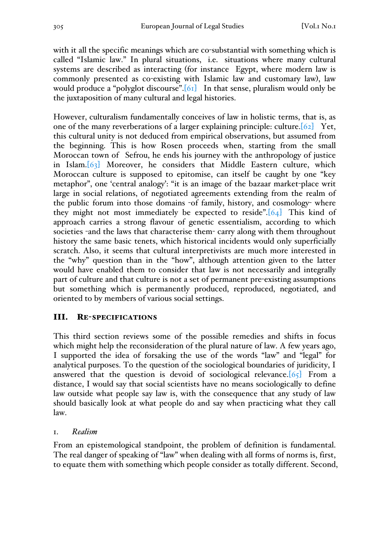with it all the specific meanings which are co-substantial with something which is called "Islamic law." In plural situations, i.e. situations where many cultural systems are described as interacting (for instance Egypt, where modern law is commonly presented as co-existing with Islamic law and customary law), law would produce a "polyglot discourse".<sup>[61]</sup> In that sense, pluralism would only be the juxtaposition of many cultural and legal histories.

However, culturalism fundamentally conceives of law in holistic terms, that is, as one of the many reverberations of a larger explaining principle: culture.[62] Yet, this cultural unity is not deduced from empirical observations, but assumed from the beginning. This is how Rosen proceeds when, starting from the small Moroccan town of Sefrou, he ends his journey with the anthropology of justice in Islam.[63] Moreover, he considers that Middle Eastern culture, which Moroccan culture is supposed to epitomise, can itself be caught by one "key metaphor", one 'central analogy': "it is an image of the bazaar market-place writ large in social relations, of negotiated agreements extending from the realm of the public forum into those domains -of family, history, and cosmology- where they might not most immediately be expected to reside". $[64]$  This kind of approach carries a strong flavour of genetic essentialism, according to which societies -and the laws that characterise them- carry along with them throughout history the same basic tenets, which historical incidents would only superficially scratch. Also, it seems that cultural interpretivists are much more interested in the "why" question than in the "how", although attention given to the latter would have enabled them to consider that law is not necessarily and integrally part of culture and that culture is not a set of permanent pre-existing assumptions but something which is permanently produced, reproduced, negotiated, and oriented to by members of various social settings.

## III. RE-SPECIFICATIONS

This third section reviews some of the possible remedies and shifts in focus which might help the reconsideration of the plural nature of law. A few years ago, I supported the idea of forsaking the use of the words "law" and "legal" for analytical purposes. To the question of the sociological boundaries of juridicity, I answered that the question is devoid of sociological relevance.  $[65]$  From a distance, I would say that social scientists have no means sociologically to define law outside what people say law is, with the consequence that any study of law should basically look at what people do and say when practicing what they call law.

1. *Realism*

From an epistemological standpoint, the problem of definition is fundamental. The real danger of speaking of "law" when dealing with all forms of norms is, first, to equate them with something which people consider as totally different. Second,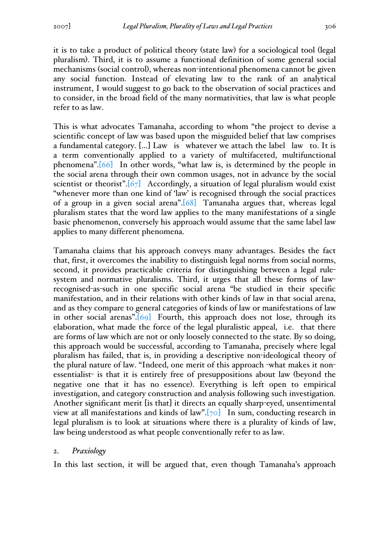it is to take a product of political theory (state law) for a sociological tool (legal pluralism). Third, it is to assume a functional definition of some general social mechanisms (social control), whereas non-intentional phenomena cannot be given any social function. Instead of elevating law to the rank of an analytical instrument, I would suggest to go back to the observation of social practices and to consider, in the broad field of the many normativities, that law is what people refer to as law.

This is what advocates Tamanaha, according to whom "the project to devise a scientific concept of law was based upon the misguided belief that law comprises a fundamental category. […] Law is whatever we attach the label law to. It is a term conventionally applied to a variety of multifaceted, multifunctional phenomena".[66] In other words, "what law is, is determined by the people in the social arena through their own common usages, not in advance by the social scientist or theorist". $[67]$  Accordingly, a situation of legal pluralism would exist "whenever more than one kind of 'law' is recognised through the social practices of a group in a given social arena".[68] Tamanaha argues that, whereas legal pluralism states that the word law applies to the many manifestations of a single basic phenomenon, conversely his approach would assume that the same label law applies to many different phenomena.

Tamanaha claims that his approach conveys many advantages. Besides the fact that, first, it overcomes the inability to distinguish legal norms from social norms, second, it provides practicable criteria for distinguishing between a legal rulesystem and normative pluralisms. Third, it urges that all these forms of lawrecognised-as-such in one specific social arena "be studied in their specific manifestation, and in their relations with other kinds of law in that social arena, and as they compare to general categories of kinds of law or manifestations of law in other social arenas".[69] Fourth, this approach does not lose, through its elaboration, what made the force of the legal pluralistic appeal, i.e. that there are forms of law which are not or only loosely connected to the state. By so doing, this approach would be successful, according to Tamanaha, precisely where legal pluralism has failed, that is, in providing a descriptive non-ideological theory of the plural nature of law. "Indeed, one merit of this approach -what makes it nonessentialist- is that it is entirely free of presuppositions about law (beyond the negative one that it has no essence). Everything is left open to empirical investigation, and category construction and analysis following such investigation. Another significant merit [is that] it directs an equally sharp-eyed, unsentimental view at all manifestations and kinds of law".[70] In sum, conducting research in legal pluralism is to look at situations where there is a plurality of kinds of law, law being understood as what people conventionally refer to as law.

#### 2. *Praxiology*

In this last section, it will be argued that, even though Tamanaha's approach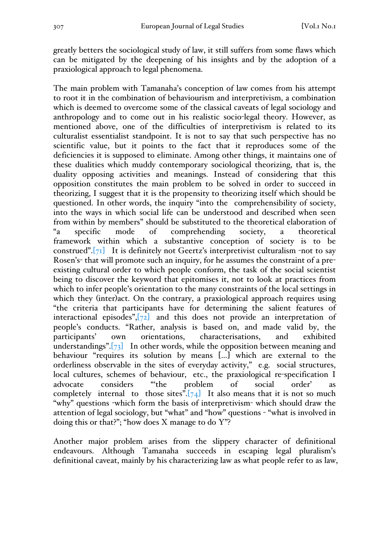greatly betters the sociological study of law, it still suffers from some flaws which can be mitigated by the deepening of his insights and by the adoption of a praxiological approach to legal phenomena.

The main problem with Tamanaha's conception of law comes from his attempt to root it in the combination of behaviourism and interpretivism, a combination which is deemed to overcome some of the classical caveats of legal sociology and anthropology and to come out in his realistic socio-legal theory. However, as mentioned above, one of the difficulties of interpretivism is related to its culturalist essentialist standpoint. It is not to say that such perspective has no scientific value, but it points to the fact that it reproduces some of the deficiencies it is supposed to eliminate. Among other things, it maintains one of these dualities which muddy contemporary sociological theorizing, that is, the duality opposing activities and meanings. Instead of considering that this opposition constitutes the main problem to be solved in order to succeed in theorizing, I suggest that it is the propensity to theorizing itself which should be questioned. In other words, the inquiry "into the comprehensibility of society, into the ways in which social life can be understood and described when seen from within by members" should be substituted to the theoretical elaboration of "a specific mode of comprehending society, a theoretical framework within which a substantive conception of society is to be construed". $[71]$  It is definitely not Geertz's interpretivist culturalism -not to say Rosen's- that will promote such an inquiry, for he assumes the constraint of a preexisting cultural order to which people conform, the task of the social scientist being to discover the keyword that epitomises it, not to look at practices from which to infer people's orientation to the many constraints of the local settings in which they (inter)act. On the contrary, a praxiological approach requires using "the criteria that participants have for determining the salient features of interactional episodes",[72] and this does not provide an interpretation of people's conducts. "Rather, analysis is based on, and made valid by, the participants' own orientations, characterisations, and exhibited understandings".[73] In other words, while the opposition between meaning and behaviour "requires its solution by means […] which are external to the orderliness observable in the sites of everyday activity," e.g. social structures, local cultures, schemes of behaviour, etc., the praxiological re-specification I advocate considers "'the problem of social order' as completely internal to those sites". $[74]$  It also means that it is not so much "why" questions -which form the basis of interpretivism- which should draw the attention of legal sociology, but "what" and "how" questions - "what is involved in doing this or that?"; "how does X manage to do Y"?

Another major problem arises from the slippery character of definitional endeavours. Although Tamanaha succeeds in escaping legal pluralism's definitional caveat, mainly by his characterizing law as what people refer to as law,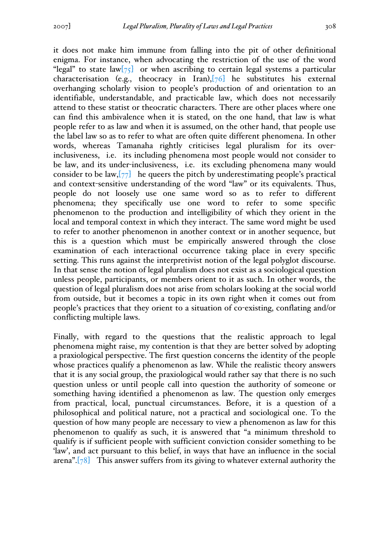it does not make him immune from falling into the pit of other definitional enigma. For instance, when advocating the restriction of the use of the word "legal" to state  $law[\frac{7}{3}]$  or when ascribing to certain legal systems a particular characterisation (e.g., theocracy in Iran), $[76]$  he substitutes his external overhanging scholarly vision to people's production of and orientation to an identifiable, understandable, and practicable law, which does not necessarily attend to these statist or theocratic characters. There are other places where one can find this ambivalence when it is stated, on the one hand, that law is what people refer to as law and when it is assumed, on the other hand, that people use the label law so as to refer to what are often quite different phenomena. In other words, whereas Tamanaha rightly criticises legal pluralism for its overinclusiveness, i.e. its including phenomena most people would not consider to be law, and its under-inclusiveness, i.e. its excluding phenomena many would consider to be law,  $[77]$  he queers the pitch by underestimating people's practical and context-sensitive understanding of the word "law" or its equivalents. Thus, people do not loosely use one same word so as to refer to different phenomena; they specifically use one word to refer to some specific phenomenon to the production and intelligibility of which they orient in the local and temporal context in which they interact. The same word might be used to refer to another phenomenon in another context or in another sequence, but this is a question which must be empirically answered through the close examination of each interactional occurrence taking place in every specific setting. This runs against the interpretivist notion of the legal polyglot discourse. In that sense the notion of legal pluralism does not exist as a sociological question unless people, participants, or members orient to it as such. In other words, the question of legal pluralism does not arise from scholars looking at the social world from outside, but it becomes a topic in its own right when it comes out from people's practices that they orient to a situation of co-existing, conflating and/or conflicting multiple laws.

Finally, with regard to the questions that the realistic approach to legal phenomena might raise, my contention is that they are better solved by adopting a praxiological perspective. The first question concerns the identity of the people whose practices qualify a phenomenon as law. While the realistic theory answers that it is any social group, the praxiological would rather say that there is no such question unless or until people call into question the authority of someone or something having identified a phenomenon as law. The question only emerges from practical, local, punctual circumstances. Before, it is a question of a philosophical and political nature, not a practical and sociological one. To the question of how many people are necessary to view a phenomenon as law for this phenomenon to qualify as such, it is answered that "a minimum threshold to qualify is if sufficient people with sufficient conviction consider something to be 'law', and act pursuant to this belief, in ways that have an influence in the social arena".[78] This answer suffers from its giving to whatever external authority the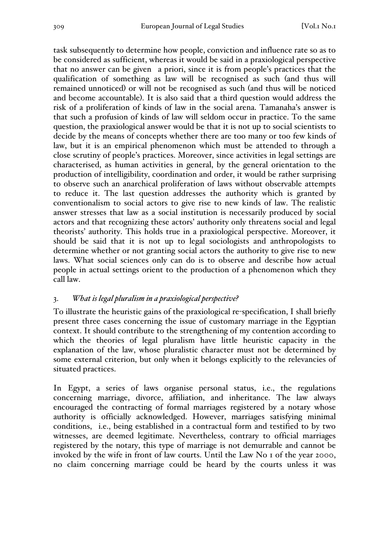task subsequently to determine how people, conviction and influence rate so as to be considered as sufficient, whereas it would be said in a praxiological perspective that no answer can be given a priori, since it is from people's practices that the qualification of something as law will be recognised as such (and thus will remained unnoticed) or will not be recognised as such (and thus will be noticed and become accountable). It is also said that a third question would address the risk of a proliferation of kinds of law in the social arena. Tamanaha's answer is that such a profusion of kinds of law will seldom occur in practice. To the same question, the praxiological answer would be that it is not up to social scientists to decide by the means of concepts whether there are too many or too few kinds of law, but it is an empirical phenomenon which must be attended to through a close scrutiny of people's practices. Moreover, since activities in legal settings are characterised, as human activities in general, by the general orientation to the production of intelligibility, coordination and order, it would be rather surprising to observe such an anarchical proliferation of laws without observable attempts to reduce it. The last question addresses the authority which is granted by conventionalism to social actors to give rise to new kinds of law. The realistic answer stresses that law as a social institution is necessarily produced by social actors and that recognizing these actors' authority only threatens social and legal theorists' authority. This holds true in a praxiological perspective. Moreover, it should be said that it is not up to legal sociologists and anthropologists to determine whether or not granting social actors the authority to give rise to new laws. What social sciences only can do is to observe and describe how actual people in actual settings orient to the production of a phenomenon which they call law.

# 3. *What is legal pluralism in a praxiological perspective?*

To illustrate the heuristic gains of the praxiological re-specification, I shall briefly present three cases concerning the issue of customary marriage in the Egyptian context. It should contribute to the strengthening of my contention according to which the theories of legal pluralism have little heuristic capacity in the explanation of the law, whose pluralistic character must not be determined by some external criterion, but only when it belongs explicitly to the relevancies of situated practices.

In Egypt, a series of laws organise personal status, i.e., the regulations concerning marriage, divorce, affiliation, and inheritance. The law always encouraged the contracting of formal marriages registered by a notary whose authority is officially acknowledged. However, marriages satisfying minimal conditions, i.e., being established in a contractual form and testified to by two witnesses, are deemed legitimate. Nevertheless, contrary to official marriages registered by the notary, this type of marriage is not demurrable and cannot be invoked by the wife in front of law courts. Until the Law No 1 of the year 2000, no claim concerning marriage could be heard by the courts unless it was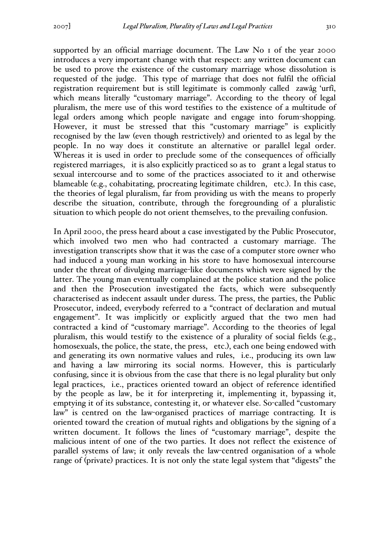supported by an official marriage document. The Law No 1 of the year 2000 introduces a very important change with that respect: any written document can be used to prove the existence of the customary marriage whose dissolution is requested of the judge. This type of marriage that does not fulfil the official registration requirement but is still legitimate is commonly called zawâg 'urfî, which means literally "customary marriage". According to the theory of legal pluralism, the mere use of this word testifies to the existence of a multitude of legal orders among which people navigate and engage into forum-shopping. However, it must be stressed that this "customary marriage" is explicitly recognised by the law (even though restrictively) and oriented to as legal by the people. In no way does it constitute an alternative or parallel legal order. Whereas it is used in order to preclude some of the consequences of officially registered marriages, it is also explicitly practiced so as to grant a legal status to sexual intercourse and to some of the practices associated to it and otherwise blameable (e.g., cohabitating, procreating legitimate children, etc.). In this case, the theories of legal pluralism, far from providing us with the means to properly describe the situation, contribute, through the foregrounding of a pluralistic situation to which people do not orient themselves, to the prevailing confusion.

In April 2000, the press heard about a case investigated by the Public Prosecutor, which involved two men who had contracted a customary marriage. The investigation transcripts show that it was the case of a computer store owner who had induced a young man working in his store to have homosexual intercourse under the threat of divulging marriage-like documents which were signed by the latter. The young man eventually complained at the police station and the police and then the Prosecution investigated the facts, which were subsequently characterised as indecent assault under duress. The press, the parties, the Public Prosecutor, indeed, everybody referred to a "contract of declaration and mutual engagement". It was implicitly or explicitly argued that the two men had contracted a kind of "customary marriage". According to the theories of legal pluralism, this would testify to the existence of a plurality of social fields (e.g., homosexuals, the police, the state, the press, etc.), each one being endowed with and generating its own normative values and rules, i.e., producing its own law and having a law mirroring its social norms. However, this is particularly confusing, since it is obvious from the case that there is no legal plurality but only legal practices, i.e., practices oriented toward an object of reference identified by the people as law, be it for interpreting it, implementing it, bypassing it, emptying it of its substance, contesting it, or whatever else. So-called "customary law" is centred on the law-organised practices of marriage contracting. It is oriented toward the creation of mutual rights and obligations by the signing of a written document. It follows the lines of "customary marriage", despite the malicious intent of one of the two parties. It does not reflect the existence of parallel systems of law; it only reveals the law-centred organisation of a whole range of (private) practices. It is not only the state legal system that "digests" the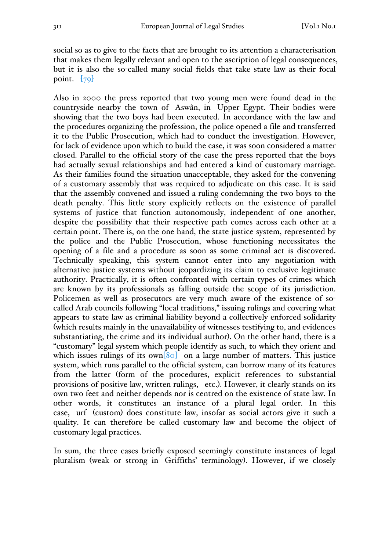social so as to give to the facts that are brought to its attention a characterisation that makes them legally relevant and open to the ascription of legal consequences, but it is also the so-called many social fields that take state law as their focal point.  $\left[79\right]$ 

Also in 2000 the press reported that two young men were found dead in the countryside nearby the town of Aswân, in Upper Egypt. Their bodies were showing that the two boys had been executed. In accordance with the law and the procedures organizing the profession, the police opened a file and transferred it to the Public Prosecution, which had to conduct the investigation. However, for lack of evidence upon which to build the case, it was soon considered a matter closed. Parallel to the official story of the case the press reported that the boys had actually sexual relationships and had entered a kind of customary marriage. As their families found the situation unacceptable, they asked for the convening of a customary assembly that was required to adjudicate on this case. It is said that the assembly convened and issued a ruling condemning the two boys to the death penalty. This little story explicitly reflects on the existence of parallel systems of justice that function autonomously, independent of one another, despite the possibility that their respective path comes across each other at a certain point. There is, on the one hand, the state justice system, represented by the police and the Public Prosecution, whose functioning necessitates the opening of a file and a procedure as soon as some criminal act is discovered. Technically speaking, this system cannot enter into any negotiation with alternative justice systems without jeopardizing its claim to exclusive legitimate authority. Practically, it is often confronted with certain types of crimes which are known by its professionals as falling outside the scope of its jurisdiction. Policemen as well as prosecutors are very much aware of the existence of socalled Arab councils following "local traditions," issuing rulings and covering what appears to state law as criminal liability beyond a collectively enforced solidarity (which results mainly in the unavailability of witnesses testifying to, and evidences substantiating, the crime and its individual author). On the other hand, there is a "customary" legal system which people identify as such, to which they orient and which issues rulings of its own $[80]$  on a large number of matters. This justice system, which runs parallel to the official system, can borrow many of its features from the latter (form of the procedures, explicit references to substantial provisions of positive law, written rulings, etc.). However, it clearly stands on its own two feet and neither depends nor is centred on the existence of state law. In other words, it constitutes an instance of a plural legal order. In this case, urf (custom) does constitute law, insofar as social actors give it such a quality. It can therefore be called customary law and become the object of customary legal practices.

In sum, the three cases briefly exposed seemingly constitute instances of legal pluralism (weak or strong in Griffiths' terminology). However, if we closely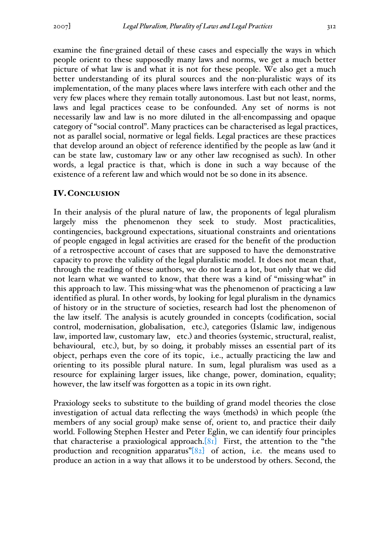examine the fine-grained detail of these cases and especially the ways in which people orient to these supposedly many laws and norms, we get a much better picture of what law is and what it is not for these people. We also get a much better understanding of its plural sources and the non-pluralistic ways of its implementation, of the many places where laws interfere with each other and the very few places where they remain totally autonomous. Last but not least, norms, laws and legal practices cease to be confounded. Any set of norms is not necessarily law and law is no more diluted in the all-encompassing and opaque category of "social control". Many practices can be characterised as legal practices, not as parallel social, normative or legal fields. Legal practices are these practices that develop around an object of reference identified by the people as law (and it can be state law, customary law or any other law recognised as such). In other words, a legal practice is that, which is done in such a way because of the existence of a referent law and which would not be so done in its absence.

#### IV.CONCLUSION

In their analysis of the plural nature of law, the proponents of legal pluralism largely miss the phenomenon they seek to study. Most practicalities, contingencies, background expectations, situational constraints and orientations of people engaged in legal activities are erased for the benefit of the production of a retrospective account of cases that are supposed to have the demonstrative capacity to prove the validity of the legal pluralistic model. It does not mean that, through the reading of these authors, we do not learn a lot, but only that we did not learn what we wanted to know, that there was a kind of "missing-what" in this approach to law. This missing-what was the phenomenon of practicing a law identified as plural. In other words, by looking for legal pluralism in the dynamics of history or in the structure of societies, research had lost the phenomenon of the law itself. The analysis is acutely grounded in concepts (codification, social control, modernisation, globalisation, etc.), categories (Islamic law, indigenous law, imported law, customary law, etc.) and theories (systemic, structural, realist, behavioural, etc.), but, by so doing, it probably misses an essential part of its object, perhaps even the core of its topic, i.e., actually practicing the law and orienting to its possible plural nature. In sum, legal pluralism was used as a resource for explaining larger issues, like change, power, domination, equality; however, the law itself was forgotten as a topic in its own right.

Praxiology seeks to substitute to the building of grand model theories the close investigation of actual data reflecting the ways (methods) in which people (the members of any social group) make sense of, orient to, and practice their daily world. Following Stephen Hester and Peter Eglin, we can identify four principles that characterise a praxiological approach. $[81]$  First, the attention to the "the production and recognition apparatus" $[82]$  of action, i.e. the means used to produce an action in a way that allows it to be understood by others. Second, the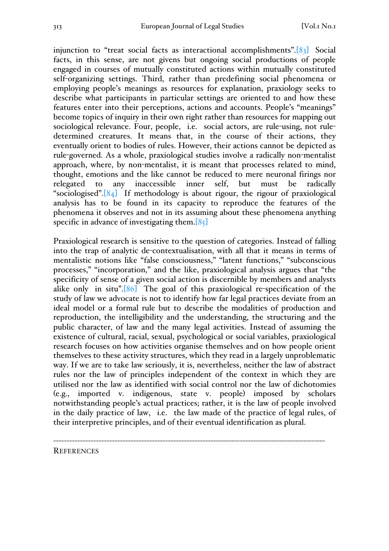injunction to "treat social facts as interactional accomplishments".[83] Social facts, in this sense, are not givens but ongoing social productions of people engaged in courses of mutually constituted actions within mutually constituted self-organizing settings. Third, rather than predefining social phenomena or employing people's meanings as resources for explanation, praxiology seeks to describe what participants in particular settings are oriented to and how these features enter into their perceptions, actions and accounts. People's "meanings" become topics of inquiry in their own right rather than resources for mapping out sociological relevance. Four, people, i.e. social actors, are rule-using, not ruledetermined creatures. It means that, in the course of their actions, they eventually orient to bodies of rules. However, their actions cannot be depicted as rule-governed. As a whole, praxiological studies involve a radically non-mentalist approach, where, by non-mentalist, it is meant that processes related to mind, thought, emotions and the like cannot be reduced to mere neuronal firings nor relegated to any inaccessible inner self, but must be radically "sociologised". $[84]$  If methodology is about rigour, the rigour of praxiological analysis has to be found in its capacity to reproduce the features of the phenomena it observes and not in its assuming about these phenomena anything specific in advance of investigating them. $[85]$ 

Praxiological research is sensitive to the question of categories. Instead of falling into the trap of analytic de-contextualisation, with all that it means in terms of mentalistic notions like "false consciousness," "latent functions," "subconscious processes," "incorporation," and the like, praxiological analysis argues that "the specificity of sense of a given social action is discernible by members and analysts alike only in situ".[86] The goal of this praxiological re-specification of the study of law we advocate is not to identify how far legal practices deviate from an ideal model or a formal rule but to describe the modalities of production and reproduction, the intelligibility and the understanding, the structuring and the public character, of law and the many legal activities. Instead of assuming the existence of cultural, racial, sexual, psychological or social variables, praxiological research focuses on how activities organise themselves and on how people orient themselves to these activity structures, which they read in a largely unproblematic way. If we are to take law seriously, it is, nevertheless, neither the law of abstract rules nor the law of principles independent of the context in which they are utilised nor the law as identified with social control nor the law of dichotomies (e.g., imported v. indigenous, state v. people) imposed by scholars notwithstanding people's actual practices; rather, it is the law of people involved in the daily practice of law, i.e. the law made of the practice of legal rules, of their interpretive principles, and of their eventual identification as plural.

------------------------------------------------------------------------------------------------------ **REFERENCES**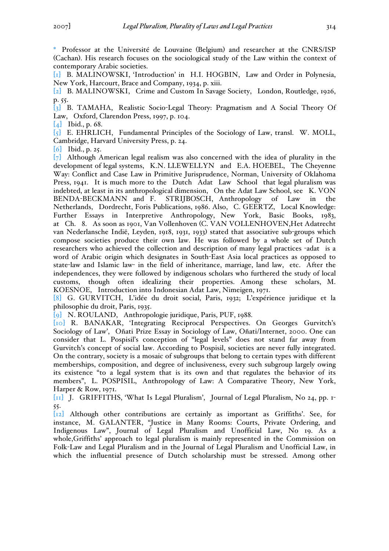\* Professor at the Université de Louvaine (Belgium) and researcher at the CNRS/ISP (Cachan). His research focuses on the sociological study of the Law within the context of contemporary Arabic societies.

[1] B. MALINOWSKI, 'Introduction' in H.I. HOGBIN, Law and Order in Polynesia, New York, Harcourt, Brace and Company, 1934, p. xiii.

[2] B. MALINOWSKI, Crime and Custom In Savage Society, London, Routledge, 1926, p. 55.

[3] B. TAMAHA, Realistic Socio-Legal Theory: Pragmatism and A Social Theory Of Law, Oxford, Clarendon Press, 1997, p. 104.

[4] Ibid., p. 68.

[5] E. EHRLICH, Fundamental Principles of the Sociology of Law, transl. W. MOLL, Cambridge, Harvard University Press, p. 24.

[6] Ibid., p. 25.

 $\lceil 7 \rceil$  Although American legal realism was also concerned with the idea of plurality in the development of legal systems, K.N. LLEWELLYN and E.A. HOEBEL, The Cheyenne Way: Conflict and Case Law in Primitive Jurisprudence, Norman, University of Oklahoma Press, 1941. It is much more to the Dutch Adat Law School that legal pluralism was indebted, at least in its anthropological dimension, On the Adat Law School, see K. VON BENDA-BECKMANN and F. STRIJBOSCH, Anthropology of Law in the Netherlands, Dordrecht, Foris Publications, 1986. Also, C. GEERTZ, Local Knowledge: Further Essays in Interpretive Anthropology, New York, Basic Books, 1983, at Ch. 8. As soon as 1901, Van Vollenhoven (C. VAN VOLLENHOVEN,Het Adatrecht van Nederlansche Indië, Leyden, 1918, 1931, 1933) stated that associative sub-groups which compose societies produce their own law. He was followed by a whole set of Dutch researchers who achieved the collection and description of many legal practices -adat is a word of Arabic origin which designates in South-East Asia local practices as opposed to state-law and Islamic law- in the field of inheritance, marriage, land law, etc. After the independences, they were followed by indigenous scholars who furthered the study of local customs, though often idealizing their properties. Among these scholars, M. KOESNOE, Introduction into Indonesian Adat Law, Nimeigen, 1971.

[8] G. GURVITCH, L'idée du droit social, Paris, 1932; L'expérience juridique et la philosophie du droit, Paris, 1935.

[9] N. ROULAND, Anthropologie juridique, Paris, PUF, 1988.

[10] R. BANAKAR, 'Integrating Reciprocal Perspectives. On Georges Gurvitch's Sociology of Law', Oñati Prize Essay in Sociology of Law, Oñati/Internet, 2000. One can consider that L. Pospisil's conception of "legal levels" does not stand far away from Gurvitch's concept of social law. According to Pospisil, societies are never fully integrated. On the contrary, society is a mosaic of subgroups that belong to certain types with different memberships, composition, and degree of inclusiveness, every such subgroup largely owing its existence "to a legal system that is its own and that regulates the behavior of its members", L. POSPISIL, Anthropology of Law: A Comparative Theory, New York, Harper & Row, 1971.

[11] J. GRIFFITHS, 'What Is Legal Pluralism', Journal of Legal Pluralism, No 24, pp. 1- 55.

[12] Although other contributions are certainly as important as Griffiths'. See, for instance, M. GALANTER, "Justice in Many Rooms: Courts, Private Ordering, and Indigenous Law", Journal of Legal Pluralism and Unofficial Law, No 19. As a whole,Griffiths' approach to legal pluralism is mainly represented in the Commission on Folk-Law and Legal Pluralism and in the Journal of Legal Pluralism and Unofficial Law, in which the influential presence of Dutch scholarship must be stressed. Among other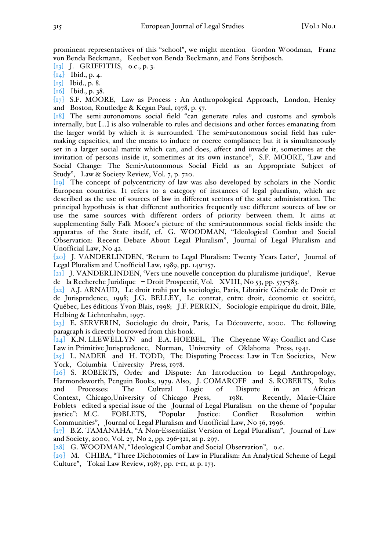prominent representatives of this "school", we might mention Gordon Woodman, Franz von Benda-Beckmann, Keebet von Benda-Beckmann, and Fons Strijbosch.

[13] J. GRIFFITHS, o.c., p. 3.

 $[i4]$  Ibid., p. 4.

[15] Ibid., p. 8.

[16] Ibid., p. 38.

[17] S.F. MOORE, Law as Process : An Anthropological Approach, London, Henley and Boston, Routledge & Kegan Paul, 1978, p. 57.

[18] The semi-autonomous social field "can generate rules and customs and symbols internally, but […] is also vulnerable to rules and decisions and other forces emanating from the larger world by which it is surrounded. The semi-autonomous social field has rulemaking capacities, and the means to induce or coerce compliance; but it is simultaneously set in a larger social matrix which can, and does, affect and invade it, sometimes at the invitation of persons inside it, sometimes at its own instance", S.F. MOORE, 'Law and Social Change: The Semi-Autonomous Social Field as an Appropriate Subject of Study", Law & Society Review, Vol. 7, p. 720.

[19] The concept of polycentricity of law was also developed by scholars in the Nordic European countries. It refers to a category of instances of legal pluralism, which are described as the use of sources of law in different sectors of the state administration. The principal hypothesis is that different authorities frequently use different sources of law or use the same sources with different orders of priority between them. It aims at supplementing Sally Falk Moore's picture of the semi-autonomous social fields inside the apparatus of the State itself, cf. G. WOODMAN, "Ideological Combat and Social Observation: Recent Debate About Legal Pluralism", Journal of Legal Pluralism and Unofficial Law, No 42.

[20] J. VANDERLINDEN, 'Return to Legal Pluralism: Twenty Years Later', Journal of Legal Pluralism and Unofficial Law, 1989, pp. 149-157.

[21] J. VANDERLINDEN, 'Vers une nouvelle conception du pluralisme juridique', Revue de la Recherche Juridique – Droit Prospectif, Vol. XVIII, No 53, pp. 575-583.

[22] A.J. ARNAUD, Le droit trahi par la sociologie, Paris, Librairie Générale de Droit et de Jurisprudence, 1998; J.G. BELLEY, Le contrat, entre droit, économie et société, Québec, Les éditions Yvon Blais, 1998; J.F. PERRIN, Sociologie empirique du droit, Bâle, Helbing & Lichtenhahn, 1997.

[23] E. SERVERIN, Sociologie du droit, Paris, La Découverte, 2000. The following paragraph is directly borrowed from this book.

[24] K.N. LLEWELLYN and E.A. HOEBEL, The Cheyenne Way: Conflict and Case Law in Primitive Jurisprudence, Norman, University of Oklahoma Press, 1941.

 $[25]$  L. NADER and H. TODD, The Disputing Process: Law in Ten Societies, New York, Columbia University Press, 1978.

[26] S. ROBERTS, Order and Dispute: An Introduction to Legal Anthropology, Harmondsworth, Penguin Books, 1979. Also, J. COMAROFF and S. ROBERTS, Rules and Processes: The Cultural Logic of Dispute in an African Context, Chicago,University of Chicago Press, 1981. Recently, Marie-Claire Foblets edited a special issue of the Journal of Legal Pluralism on the theme of "popular justice": M.C. FOBLETS, "Popular Justice: Conflict Resolution within Communities", Journal of Legal Pluralism and Unofficial Law, No 36, 1996.

[27] B.Z. TAMANAHA, "A Non-Essentialist Version of Legal Pluralism", Journal of Law and Society, 2000, Vol. 27, No 2, pp. 296-321, at p. 297.

[28] G. WOODMAN, "Ideological Combat and Social Observation", o.c.

[29] M. CHIBA, "Three Dichotomies of Law in Pluralism: An Analytical Scheme of Legal Culture", Tokai Law Review, 1987, pp. 1-11, at p. 173.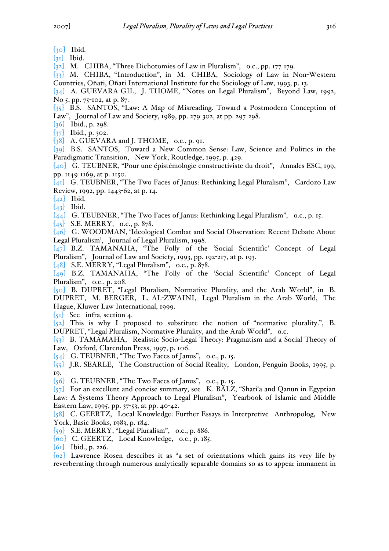- [30] Ibid.
- $\begin{bmatrix} 31 \end{bmatrix}$  Ibid.

[32] M. CHIBA, "Three Dichotomies of Law in Pluralism", o.c., pp. 177-179.

[33] M. CHIBA, "Introduction", in M. CHIBA, Sociology of Law in Non-Western Countries, Oñati, Oñati International Institute for the Sociology of Law, 1993, p. 13.

[34] A. GUEVARA-GIL, J. THOME, "Notes on Legal Pluralism", Beyond Law, 1992, No 5, pp. 75-102, at p. 87.

[35] B.S. SANTOS, "Law: A Map of Misreading. Toward a Postmodern Conception of Law", Journal of Law and Society, 1989, pp. 279-302, at pp. 297-298.

[36] Ibid., p. 298.

 $[37]$  Ibid., p. 302.

 $\begin{bmatrix} 38 \\ 4.6 \end{bmatrix}$  A. GUEVARA and J. THOME, o.c., p. 91.

[39] B.S. SANTOS, Toward a New Common Sense: Law, Science and Politics in the Paradigmatic Transition, New York, Routledge, 1995, p. 429.

[40] G. TEUBNER, "Pour une épistémologie constructiviste du droit", Annales ESC, 199, pp. 1149-1169, at p. 1150.

[41] G. TEUBNER, "The Two Faces of Janus: Rethinking Legal Pluralism", Cardozo Law Review, 1992, pp. 1443-62, at p. 14.

 $[42]$  Ibid.

 $\begin{bmatrix} 43 \end{bmatrix}$  Ibid.

[44] G. TEUBNER, "The Two Faces of Janus: Rethinking Legal Pluralism", o.c., p. 15.

 $[45]$  S.E. MERRY, o.c., p. 878.

[46] G. WOODMAN, 'Ideological Combat and Social Observation: Recent Debate About Legal Pluralism', Journal of Legal Pluralism, 1998.

[47] B.Z. TAMANAHA, "The Folly of the 'Social Scientific' Concept of Legal Pluralism", Journal of Law and Society, 1993, pp. 192-217, at p. 193.

[48] S.E. MERRY, "Legal Pluralism", o.c., p. 878.

[49] B.Z. TAMANAHA, "The Folly of the 'Social Scientific' Concept of Legal Pluralism", o.c., p. 208.

[50] B. DUPRET, "Legal Pluralism, Normative Plurality, and the Arab World", in B. DUPRET, M. BERGER, L. AL-ZWAINI, Legal Pluralism in the Arab World, The Hague, Kluwer Law International, 1999.

[51] See infra, section 4.

 $\lceil 52 \rceil$  This is why I proposed to substitute the notion of "normative plurality.", B. DUPRET, "Legal Pluralism, Normative Plurality, and the Arab World", o.c.

[53] B. TAMAMAHA, Realistic Socio-Legal Theory: Pragmatism and a Social Theory of Law, Oxford, Clarendon Press, 1997, p. 106.

[54] G. TEUBNER, "The Two Faces of Janus", o.c., p. 15.

 $\overline{55}$  J.R. SEARLE, The Construction of Social Reality, London, Penguin Books, 1995, p. 19.

[56] G. TEUBNER, "The Two Faces of Janus", o.c., p. 15.

[57] For an excellent and concise summary, see K. BÄLZ, "Shari'a and Qanun in Egyptian Law: A Systems Theory Approach to Legal Pluralism", Yearbook of Islamic and Middle Eastern Law, 1995, pp. 37-53, at pp. 40-42.

[58] C. GEERTZ, Local Knowledge: Further Essays in Interpretive Anthropolog, New York, Basic Books, 1983, p. 184.

 $[59]$  S.E. MERRY, "Legal Pluralism", o.c., p. 886.

[60] C. GEERTZ, Local Knowledge, o.c., p. 185.

[61] Ibid., p. 226.

[62] Lawrence Rosen describes it as "a set of orientations which gains its very life by reverberating through numerous analytically separable domains so as to appear immanent in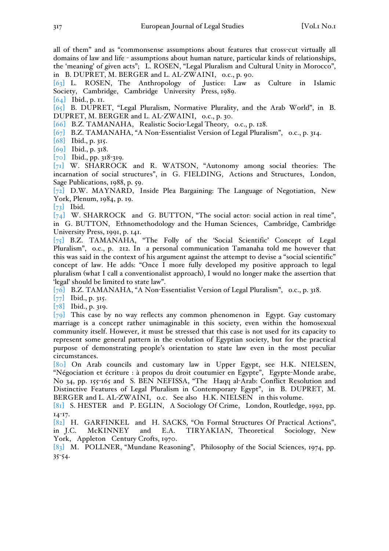all of them" and as "commonsense assumptions about features that cross-cut virtually all domains of law and life - assumptions about human nature, particular kinds of relationships, the 'meaning' of given acts"; L. ROSEN, "Legal Pluralism and Cultural Unity in Morocco", in B. DUPRET, M. BERGER and L. AL-ZWAINI, o.c., p. 90.

[63] L. ROSEN, The Anthropology of Justice: Law as Culture in Islamic Society, Cambridge, Cambridge University Press, 1989.

[64] Ibid., p. 11.

[65] B. DUPRET, "Legal Pluralism, Normative Plurality, and the Arab World", in B. DUPRET, M. BERGER and L. AL-ZWAINI, o.c., p. 30.

[66] B.Z. TAMANAHA, Realistic Socio-Legal Theory, o.c., p. 128.

- [67] B.Z. TAMANAHA, "A Non-Essentialist Version of Legal Pluralism", o.c., p. 314.
- [68] Ibid., p. 315.
- [69] Ibid., p. 318.
- [70] Ibid., pp. 318-319.

[71] W. SHARROCK and R. WATSON, "Autonomy among social theories: The incarnation of social structures", in G. FIELDING, Actions and Structures, London, Sage Publications, 1988, p. 59.

[72] D.W. MAYNARD, Inside Plea Bargaining: The Language of Negotiation, New York, Plenum, 1984, p. 19.

 $\begin{bmatrix} 73 \end{bmatrix}$  Ibid.

 $[74]$  W. SHARROCK and G. BUTTON, "The social actor: social action in real time", in G. BUTTON, Ethnomethodology and the Human Sciences, Cambridge, Cambridge University Press, 1991, p. 141.

[75] B.Z. TAMANAHA, "The Folly of the 'Social Scientific' Concept of Legal Pluralism", o.c., p. 212. In a personal communication Tamanaha told me however that this was said in the context of his argument against the attempt to devise a "social scientific" concept of law. He adds: "Once I more fully developed my positive approach to legal pluralism (what I call a conventionalist approach), I would no longer make the assertion that 'legal' should be limited to state law".

[76] B.Z. TAMANAHA, "A Non-Essentialist Version of Legal Pluralism", o.c., p. 318.

[77] Ibid., p. 315.

[78] Ibid., p. 319.

 $[79]$  This case by no way reflects any common phenomenon in Egypt. Gay customary marriage is a concept rather unimaginable in this society, even within the homosexual community itself. However, it must be stressed that this case is not used for its capacity to represent some general pattern in the evolution of Egyptian society, but for the practical purpose of demonstrating people's orientation to state law even in the most peculiar circumstances.

[80] On Arab councils and customary law in Upper Egypt, see H.K. NIELSEN, "Négociation et écriture : à propos du droit coutumier en Egypte", Egypte-Monde arabe, No 34, pp. 155-165 and S. BEN NEFISSA, "The Haqq al-Arab: Conflict Resolution and Distinctive Features of Legal Pluralism in Contemporary Egypt", in B. DUPRET, M. BERGER and L. AL-ZWAINI, o.c. See also H.K. NIELSEN in this volume.

[81] S. HESTER and P. EGLIN, A Sociology Of Crime, London, Routledge, 1992, pp. 14-17.

[82] H. GARFINKEL and H. SACKS, "On Formal Structures Of Practical Actions", in J.C. McKINNEY and E.A. TIRYAKIAN, Theoretical Sociology, New York, Appleton Century Crofts, 1970.

[83] M. POLLNER, "Mundane Reasoning", Philosophy of the Social Sciences, 1974, pp. 35-54.